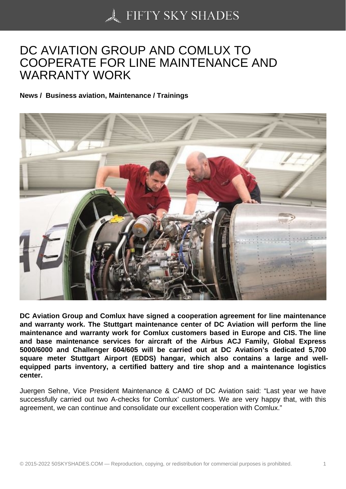## [DC AVIATION GROUP](https://50skyshades.com) AND COMLUX TO COOPERATE FOR LINE MAINTENANCE AND WARRANTY WORK

News / Business aviation, Maintenance / Trainings

DC Aviation Group and Comlux have signed a cooperation agreement for line maintenance and warranty work. The Stuttgart maintenance center of DC Aviation will perform the line maintenance and warranty work for Comlux customers based in Europe and CIS. The line and base maintenance services for aircraft of the Airbus ACJ Family, Global Express 5000/6000 and Challenger 604/605 will be carried out at DC Aviation's dedicated 5,700 square meter Stuttgart Airport (EDDS) hangar, which also contains a large and wellequipped parts inventory, a certified battery and tire shop and a maintenance logistics center.

Juergen Sehne, Vice President Maintenance & CAMO of DC Aviation said: "Last year we have successfully carried out two A-checks for Comlux' customers. We are very happy that, with this agreement, we can continue and consolidate our excellent cooperation with Comlux."